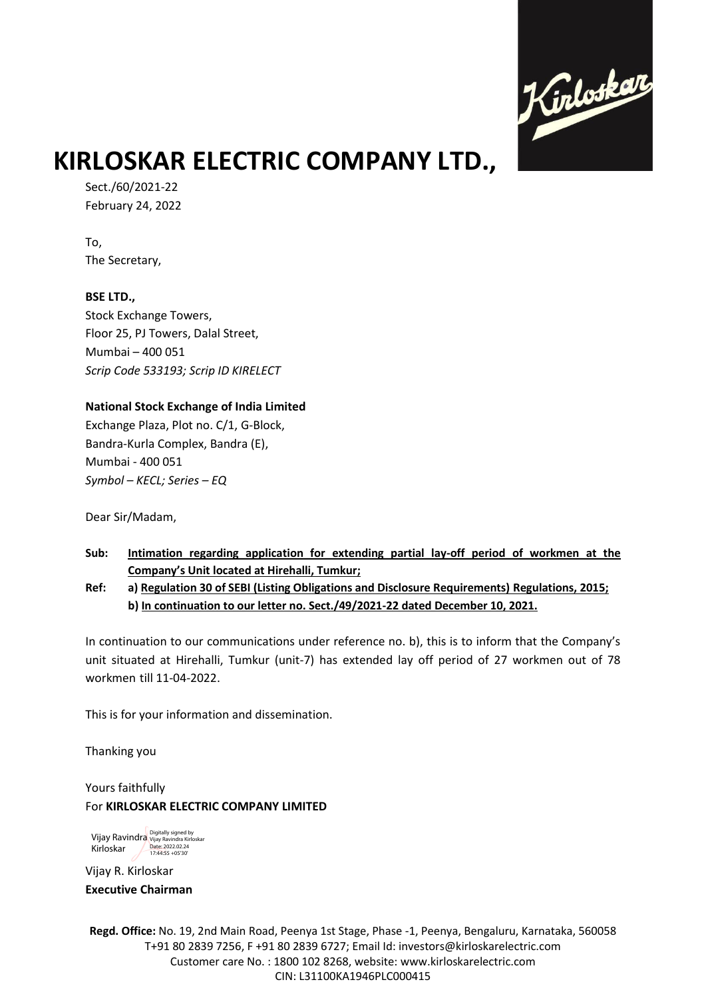

# **KIRLOSKAR ELECTRIC COMPANY LTD.,**

Sect./60/2021-22 February 24, 2022

To, The Secretary,

**BSE LTD.,**  Stock Exchange Towers, Floor 25, PJ Towers, Dalal Street, Mumbai – 400 051 *Scrip Code 533193; Scrip ID KIRELECT*

### **National Stock Exchange of India Limited**

Exchange Plaza, Plot no. C/1, G-Block, Bandra-Kurla Complex, Bandra (E), Mumbai - 400 051 *Symbol – KECL; Series – EQ*

Dear Sir/Madam,

**Sub: Intimation regarding application for extending partial lay-off period of workmen at the Company's Unit located at Hirehalli, Tumkur;**

**Ref: a) Regulation 30 of SEBI (Listing Obligations and Disclosure Requirements) Regulations, 2015; b) In continuation to our letter no. Sect./49/2021-22 dated December 10, 2021.**

In continuation to our communications under reference no. b), this is to inform that the Company's unit situated at Hirehalli, Tumkur (unit-7) has extended lay off period of 27 workmen out of 78 workmen till 11-04-2022.

This is for your information and dissemination.

Thanking you

Yours faithfully For **KIRLOSKAR ELECTRIC COMPANY LIMITED**

Vijay Ravindra Digitally signed by<br>Vijay Ravindra <sub>Vijay Ravindra Kirloskar</sub> Kirloskar Date: 2022.02.24

Vijay R. Kirloskar **Executive Chairman** 

**Regd. Office:** No. 19, 2nd Main Road, Peenya 1st Stage, Phase -1, Peenya, Bengaluru, Karnataka, 560058 T+91 80 2839 7256, F +91 80 2839 6727; Email Id: investors@kirloskarelectric.com Customer care No. : 1800 102 8268, website: www.kirloskarelectric.com CIN: L31100KA1946PLC000415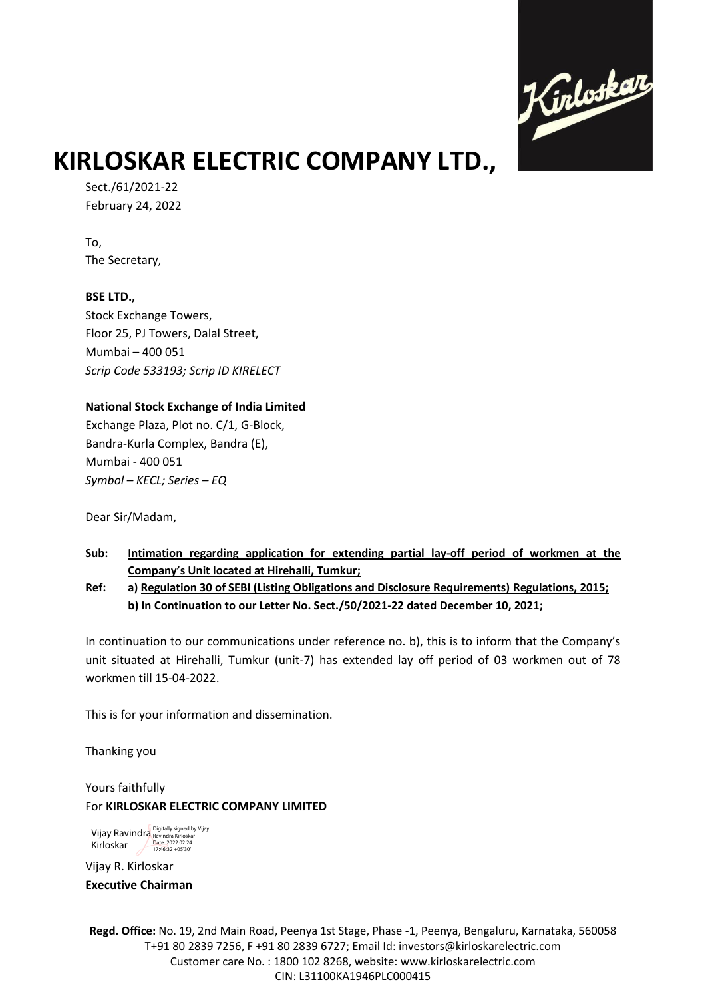

# **KIRLOSKAR ELECTRIC COMPANY LTD.,**

Sect./61/2021-22 February 24, 2022

To, The Secretary,

**BSE LTD.,**  Stock Exchange Towers, Floor 25, PJ Towers, Dalal Street, Mumbai – 400 051 *Scrip Code 533193; Scrip ID KIRELECT*

### **National Stock Exchange of India Limited**

Exchange Plaza, Plot no. C/1, G-Block, Bandra-Kurla Complex, Bandra (E), Mumbai - 400 051 *Symbol – KECL; Series – EQ*

Dear Sir/Madam,

**Sub: Intimation regarding application for extending partial lay-off period of workmen at the Company's Unit located at Hirehalli, Tumkur;**

**Ref: a) Regulation 30 of SEBI (Listing Obligations and Disclosure Requirements) Regulations, 2015; b) In Continuation to our Letter No. Sect./50/2021-22 dated December 10, 2021;**

In continuation to our communications under reference no. b), this is to inform that the Company's unit situated at Hirehalli, Tumkur (unit-7) has extended lay off period of 03 workmen out of 78 workmen till 15-04-2022.

This is for your information and dissemination.

Thanking you

Yours faithfully For **KIRLOSKAR ELECTRIC COMPANY LIMITED**

Vijay Ravindra Kirloskar Digitally signed by Vijay Ravindra Kirloskar Date: 2022.02.24 17:46:32 +05'30'

Vijay R. Kirloskar **Executive Chairman** 

**Regd. Office:** No. 19, 2nd Main Road, Peenya 1st Stage, Phase -1, Peenya, Bengaluru, Karnataka, 560058 T+91 80 2839 7256, F +91 80 2839 6727; Email Id: investors@kirloskarelectric.com Customer care No. : 1800 102 8268, website: www.kirloskarelectric.com CIN: L31100KA1946PLC000415